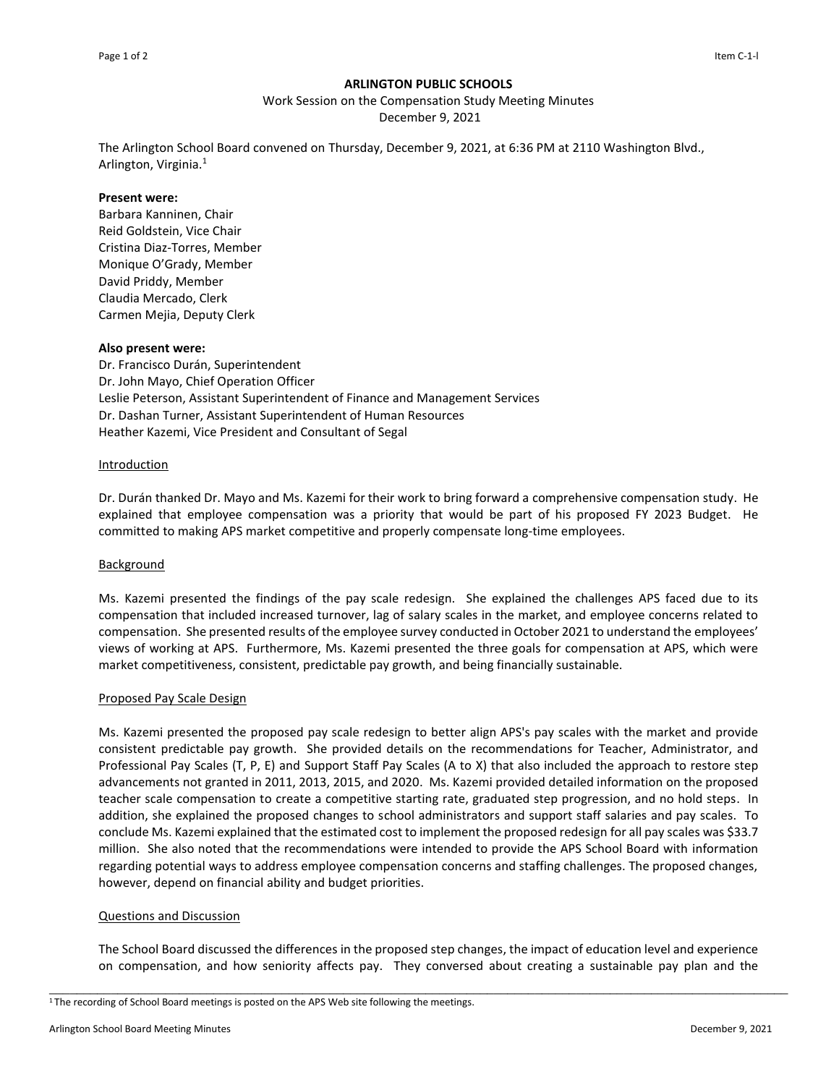## **ARLINGTON PUBLIC SCHOOLS**

Work Session on the Compensation Study Meeting Minutes

December 9, 2021

The Arlington School Board convened on Thursday, December 9, 2021, at 6:36 PM at 2110 Washington Blvd., Arlington, Virginia.<sup>1</sup>

#### **Present were:**

Barbara Kanninen, Chair Reid Goldstein, Vice Chair Cristina Diaz-Torres, Member Monique O'Grady, Member David Priddy, Member Claudia Mercado, Clerk Carmen Mejia, Deputy Clerk

## **Also present were:**

Dr. Francisco Durán, Superintendent Dr. John Mayo, Chief Operation Officer Leslie Peterson, Assistant Superintendent of Finance and Management Services Dr. Dashan Turner, Assistant Superintendent of Human Resources Heather Kazemi, Vice President and Consultant of Segal

#### **Introduction**

Dr. Durán thanked Dr. Mayo and Ms. Kazemi for their work to bring forward a comprehensive compensation study. He explained that employee compensation was a priority that would be part of his proposed FY 2023 Budget. He committed to making APS market competitive and properly compensate long-time employees.

## Background

Ms. Kazemi presented the findings of the pay scale redesign. She explained the challenges APS faced due to its compensation that included increased turnover, lag of salary scales in the market, and employee concerns related to compensation. She presented results of the employee survey conducted in October 2021 to understand the employees' views of working at APS. Furthermore, Ms. Kazemi presented the three goals for compensation at APS, which were market competitiveness, consistent, predictable pay growth, and being financially sustainable.

## Proposed Pay Scale Design

Ms. Kazemi presented the proposed pay scale redesign to better align APS's pay scales with the market and provide consistent predictable pay growth. She provided details on the recommendations for Teacher, Administrator, and Professional Pay Scales (T, P, E) and Support Staff Pay Scales (A to X) that also included the approach to restore step advancements not granted in 2011, 2013, 2015, and 2020. Ms. Kazemi provided detailed information on the proposed teacher scale compensation to create a competitive starting rate, graduated step progression, and no hold steps. In addition, she explained the proposed changes to school administrators and support staff salaries and pay scales. To conclude Ms. Kazemi explained that the estimated cost to implement the proposed redesign for all pay scales was \$33.7 million. She also noted that the recommendations were intended to provide the APS School Board with information regarding potential ways to address employee compensation concerns and staffing challenges. The proposed changes, however, depend on financial ability and budget priorities.

#### Questions and Discussion

The School Board discussed the differences in the proposed step changes, the impact of education level and experience on compensation, and how seniority affects pay. They conversed about creating a sustainable pay plan and the

\_\_\_\_\_\_\_\_\_\_\_\_\_\_\_\_\_\_\_\_\_\_\_\_\_\_\_\_\_\_\_\_\_\_\_\_\_\_\_\_\_\_\_\_\_\_\_\_\_\_\_\_\_\_\_\_\_\_\_\_\_\_\_\_\_\_\_\_\_\_\_\_\_\_\_\_\_\_\_\_\_\_\_\_\_\_\_\_\_\_\_\_\_\_\_\_\_\_\_\_\_\_\_\_\_\_\_\_

<sup>1</sup>The recording of School Board meetings is posted on the APS Web site following the meetings.